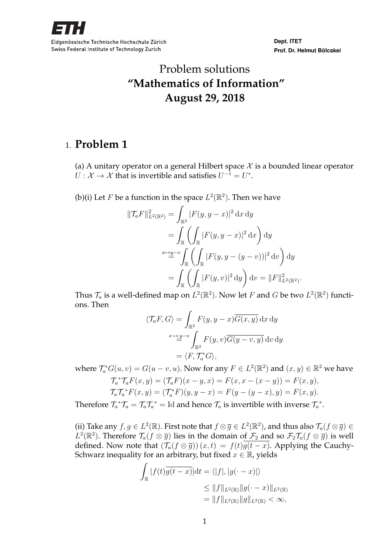

**Dept. ITET Prof. Dr. Helmut Bölcskei**

# Problem solutions **"Mathematics of Information" August 29, 2018**

## 1. **Problem 1**

(a) A unitary operator on a general Hilbert space  $\mathcal X$  is a bounded linear operator  $U: \mathcal{X} \to \mathcal{X}$  that is invertible and satisfies  $U^{-1} = U^*$ .

(b)(i) Let *F* be a function in the space  $L^2(\mathbb{R}^2)$ . Then we have

$$
\begin{aligned} \|\mathcal{T}_a F\|_{L^2(\mathbb{R}^2)}^2 &= \int_{\mathbb{R}^2} |F(y, y - x)|^2 \, \mathrm{d}x \, \mathrm{d}y \\ &= \int_{\mathbb{R}} \left( \int_{\mathbb{R}} |F(y, y - x)|^2 \, \mathrm{d}x \right) \mathrm{d}y \\ \xrightarrow{x \mapsto y - v} \int_{\mathbb{R}} \left( \int_{\mathbb{R}} |F(y, y - (y - v))|^2 \, \mathrm{d}v \right) \mathrm{d}y \\ &= \int_{\mathbb{R}} \left( \int_{\mathbb{R}} |F(y, v)|^2 \, \mathrm{d}y \right) \mathrm{d}v = \|F\|_{L^2(\mathbb{R}^2)}^2. \end{aligned}
$$

Thus  $\mathcal{T}_a$  is a well-defined map on  $L^2(\mathbb{R}^2)$ . Now let F and G be two  $L^2(\mathbb{R}^2)$  functions. Then

$$
\langle \mathcal{T}_a F, G \rangle = \int_{\mathbb{R}^2} F(y, y - x) \overline{G(x, y)} \, dx \, dy
$$

$$
= \int_{\mathbb{R}^2} F(y, v) \overline{G(y - v, y)} \, dv \, dy
$$

$$
= \langle F, \mathcal{T}_a^* G \rangle,
$$

where  $\mathcal{T}_a^* G(u, v) = G(u - v, u)$ . Now for any  $F \in L^2(\mathbb{R}^2)$  and  $(x, y) \in \mathbb{R}^2$  we have

$$
\mathcal{T}_a^* \mathcal{T}_a F(x, y) = (\mathcal{T}_a F)(x - y, x) = F(x, x - (x - y)) = F(x, y), \n\mathcal{T}_a \mathcal{T}_a^* F(x, y) = (\mathcal{T}_a^* F)(y, y - x) = F(y - (y - x), y) = F(x, y).
$$

Therefore  $\mathcal{T}_a^*\mathcal{T}_a = \mathcal{T}_a\mathcal{T}_a^* = \text{Id}$  and hence  $\mathcal{T}_a$  is invertible with inverse  $\mathcal{T}_a^*$ .

(ii) Take any  $f, g \in L^2(\mathbb{R})$ . First note that  $f \otimes \overline{g} \in L^2(\mathbb{R}^2)$ , and thus also  $\mathcal{T}_a(f \otimes \overline{g}) \in$  $L^2(\mathbb{R}^2)$ . Therefore  $\mathcal{T}_a(f \otimes \overline{g})$  lies in the domain of  $\mathcal{F}_2$  and so  $\mathcal{F}_2\mathcal{T}_a(f \otimes \overline{g})$  is well defined. Now note that  $(\mathcal{T}_a(f \otimes \overline{g})) (x, t) = f(t) \overline{g(t - x)}$ . Applying the Cauchy-Schwarz inequality for an arbitrary, but fixed  $x \in \mathbb{R}$ , yields

$$
\int_{\mathbb{R}} |f(t)\overline{g(t-x)}|dt = \langle |f|, |g(\cdot-x)| \rangle
$$
  
\n
$$
\leq \|f\|_{L^{2}(\mathbb{R})} \|g(\cdot-x)\|_{L^{2}(\mathbb{R})}
$$
  
\n
$$
= \|f\|_{L^{2}(\mathbb{R})} \|g\|_{L^{2}(\mathbb{R})} < \infty,
$$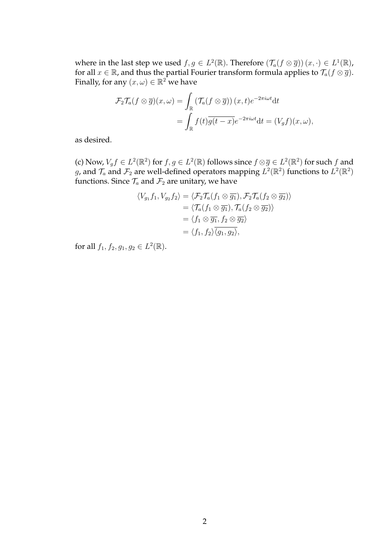where in the last step we used  $f, g \in L^2(\mathbb{R})$ . Therefore  $(\mathcal{T}_a(f \otimes \overline{g})) (x, \cdot) \in L^1(\mathbb{R})$ , for all  $x \in \mathbb{R}$ , and thus the partial Fourier transform formula applies to  $\mathcal{T}_a(f \otimes \overline{g})$ . Finally, for any  $(x,\omega)\in\mathbb{R}^2$  we have

$$
\mathcal{F}_2 \mathcal{T}_a(f \otimes \overline{g})(x,\omega) = \int_{\mathbb{R}} \left( \mathcal{T}_a(f \otimes \overline{g}) \right)(x,t) e^{-2\pi i \omega t} dt
$$
  
= 
$$
\int_{\mathbb{R}} f(t) \overline{g(t-x)} e^{-2\pi i \omega t} dt = (V_g f)(x,\omega),
$$

as desired.

(c) Now,  $V_g f \in L^2(\mathbb{R}^2)$  for  $f, g \in L^2(\mathbb{R})$  follows since  $f \otimes \overline{g} \in L^2(\mathbb{R}^2)$  for such  $f$  and g, and  $\mathcal{T}_a$  and  $\mathcal{F}_2$  are well-defined operators mapping  $L^2(\mathbb{R}^2)$  functions to  $L^2(\mathbb{R}^2)$ functions. Since  $\mathcal{T}_a$  and  $\mathcal{F}_2$  are unitary, we have

$$
\langle V_{g_1} f_1, V_{g_2} f_2 \rangle = \langle \mathcal{F}_2 \mathcal{T}_a(f_1 \otimes \overline{g_1}), \mathcal{F}_2 \mathcal{T}_a(f_2 \otimes \overline{g_2}) \rangle
$$
  
\n
$$
= \langle \mathcal{T}_a(f_1 \otimes \overline{g_1}), \mathcal{T}_a(f_2 \otimes \overline{g_2}) \rangle
$$
  
\n
$$
= \langle f_1 \otimes \overline{g_1}, f_2 \otimes \overline{g_2} \rangle
$$
  
\n
$$
= \langle f_1, f_2 \rangle \overline{\langle g_1, g_2 \rangle},
$$

for all  $f_1, f_2, g_1, g_2 \in L^2(\mathbb{R})$ .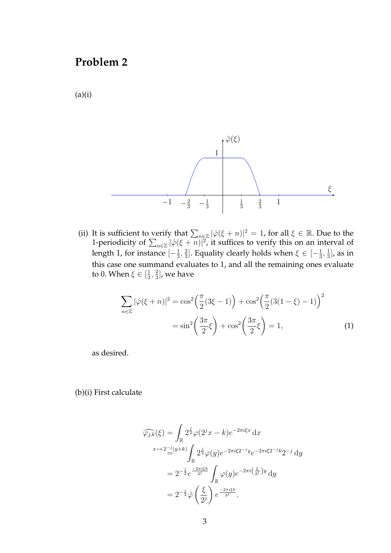# **Problem 2**

 $(a)(i)$ 



(ii) It is sufficient to verify that  $\sum_{n\in\mathbb{Z}}|\hat{\varphi}(\xi+n)|^2=1$ , for all  $\xi\in\mathbb{R}$ . Due to the 1-periodicity of  $\sum_{n\in\mathbb{Z}}|\hat{\varphi}(\xi+n)|^2$ , it suffices to verify this on an interval of length 1, for instance  $[-\frac{1}{3}]$  $\frac{1}{3}, \frac{2}{3}$  $\frac{2}{3}$ ]. Equality clearly holds when  $\xi \in [-\frac{1}{3}]$  $\frac{1}{3}, \frac{1}{3}$  $\frac{1}{3}$ , as in this case one summand evaluates to 1, and all the remaining ones evaluate to 0. When  $\xi \in [\frac{1}{3}]$  $\frac{1}{3}, \frac{2}{3}$  $\frac{2}{3}$ , we have

$$
\sum_{n\in\mathbb{Z}} |\hat{\varphi}(\xi+n)|^2 = \cos^2\left(\frac{\pi}{2}(3\xi-1)\right) + \cos^2\left(\frac{\pi}{2}(3(1-\xi)-1)\right)^2
$$

$$
= \sin^2\left(\frac{3\pi}{2}\xi\right) + \cos^2\left(\frac{3\pi}{2}\xi\right) = 1,
$$
 (1)

as desired.

(b)(i) First calculate

$$
\widehat{\varphi_{j,k}}(\xi) = \int_{\mathbb{R}} 2^{\frac{j}{2}} \varphi(2^j x - k) e^{-2\pi i \xi x} dx
$$
  

$$
x \mapsto 2^{-j} (y+k) \int_{\mathbb{R}} 2^{\frac{j}{2}} \varphi(y) e^{-2\pi i \xi 2^{-j} y} e^{-2\pi i \xi 2^{-j} k} 2^{-j} dy
$$
  

$$
= 2^{-\frac{j}{2}} e^{\frac{-2\pi i \xi k}{2^j}} \int_{\mathbb{R}} \varphi(y) e^{-2\pi i (\frac{\xi}{2^j}) y} dy
$$
  

$$
= 2^{-\frac{j}{2}} \hat{\varphi} (\frac{\xi}{2^j}) e^{\frac{-2\pi i \xi k}{2^j}}.
$$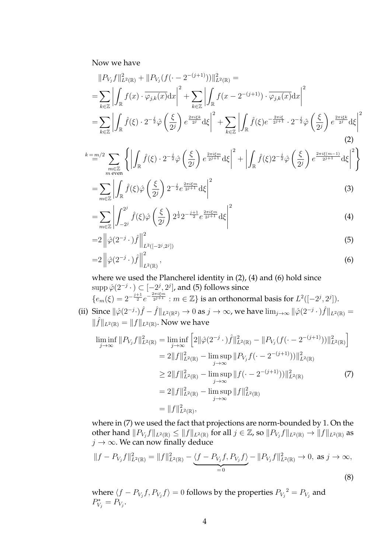Now we have

$$
||P_{V_j}f||_{L^2(\mathbb{R})}^2 + ||P_{V_j}(f(\cdot - 2^{-(j+1)}))||_{L^2(\mathbb{R})}^2 =
$$
  
= 
$$
\sum_{k \in \mathbb{Z}} \left| \int_{\mathbb{R}} f(x) \cdot \overline{\varphi_{j,k}(x)} dx \right|^2 + \sum_{k \in \mathbb{Z}} \left| \int_{\mathbb{R}} f(x - 2^{-(j+1)}) \cdot \overline{\varphi_{j,k}(x)} dx \right|^2
$$
  
= 
$$
\sum_{k \in \mathbb{Z}} \left| \int_{\mathbb{R}} \hat{f}(\xi) \cdot 2^{-\frac{j}{2}} \hat{\varphi} \left( \frac{\xi}{2^j} \right) e^{\frac{2\pi i \xi k}{2^j}} d\xi \right|^2 + \sum_{k \in \mathbb{Z}} \left| \int_{\mathbb{R}} \hat{f}(\xi) e^{-\frac{2\pi i \xi}{2^{j+1}}} \cdot 2^{-\frac{j}{2}} \hat{\varphi} \left( \frac{\xi}{2^j} \right) e^{\frac{2\pi i \xi k}{2^j}} d\xi \right|^2
$$
(2)

$$
\sum_{\substack{m \in \mathbb{Z} \\ m \text{ even}}}^{k=m/2} \left\{ \left| \int_{\mathbb{R}} \hat{f}(\xi) \cdot 2^{-\frac{j}{2}} \hat{\varphi} \left( \frac{\xi}{2^j} \right) e^{\frac{2\pi i \xi m}{2^{j+1}}} d\xi \right|^2 + \left| \int_{\mathbb{R}} \hat{f}(\xi) 2^{-\frac{j}{2}} \hat{\varphi} \left( \frac{\xi}{2^j} \right) e^{\frac{2\pi i \xi (m-1)}{2^{j+1}}} d\xi \right|^2 \right\}
$$

$$
=\sum_{m\in\mathbb{Z}}\left|\int_{\mathbb{R}}\hat{f}(\xi)\hat{\varphi}\left(\frac{\xi}{2^j}\right)2^{-\frac{j}{2}}e^{\frac{2\pi i\xi m}{2^j+1}}d\xi\right|^2\tag{3}
$$

$$
=\sum_{m\in\mathbb{Z}}\left|\int_{-2^j}^{2^j}\hat{f}(\xi)\hat{\varphi}\left(\frac{\xi}{2^j}\right)2^{\frac{1}{2}}2^{-\frac{j+1}{2}}e^{\frac{2\pi i\xi m}{2^{j+1}}}\mathrm{d}\xi\right|^2\tag{4}
$$

$$
=2\left\|\hat{\varphi}(2^{-j}\cdot)\hat{f}\right\|_{L^{2}([-2^{j},2^{j}])}^{2}
$$
\n(5)

$$
=2\left\|\hat{\varphi}(2^{-j}\cdot)\hat{f}\right\|_{L^2(\mathbb{R})}^2,\tag{6}
$$

where we used the Plancherel identity in (2), (4) and (6) hold since  $\mathrm{supp}\, \hat{\varphi}(2^{-j}\, \cdot\, )\subset [-2^j,2^j]$ , and (5) follows since  $\{e_m(\xi)=2^{-\frac{j+1}{2}}e^{-\frac{2\pi i \xi m}{2^{j+1}}} : m \in \mathbb{Z}\}$  is an orthonormal basis for  $L^2([-2^j, 2^j])$ .

(ii) Since  $\|\hat{\varphi}(2^{-j}\cdot)\hat{f} - \hat{f}\|_{L^2(\mathbb{R}^2)} \to 0$  as  $j \to \infty$ , we have  $\lim_{j\to\infty} \|\hat{\varphi}(2^{-j}\cdot)\hat{f}\|_{L^2(\mathbb{R})} =$  $\|\hat{f}\|_{L^2(\mathbb{R})} = \|f\|_{L^2(\mathbb{R})}$ . Now we have

$$
\liminf_{j \to \infty} ||P_{V_j} f||_{L^2(\mathbb{R})}^2 = \liminf_{j \to \infty} \left[ 2||\hat{\varphi}(2^{-j} \cdot) \hat{f}||_{L^2(\mathbb{R})}^2 - ||P_{V_j}(f(\cdot - 2^{-(j+1)}))||_{L^2(\mathbb{R})}^2 \right]
$$
  
\n
$$
= 2||f||_{L^2(\mathbb{R})}^2 - \limsup_{j \to \infty} ||P_{V_j} f(\cdot - 2^{-(j+1)})||_{L^2(\mathbb{R})}^2
$$
  
\n
$$
\ge 2||f||_{L^2(\mathbb{R})}^2 - \limsup_{j \to \infty} ||f(\cdot - 2^{-(j+1)})||_{L^2(\mathbb{R})}^2
$$
  
\n
$$
= 2||f||_{L^2(\mathbb{R})}^2 - \limsup_{j \to \infty} ||f||_{L^2(\mathbb{R})}^2
$$
  
\n
$$
= ||f||_{L^2(\mathbb{R})}^2,
$$
  
\n(7)

where in (7) we used the fact that projections are norm-bounded by 1. On the other hand  $||P_{V_j}f||_{L^2(\mathbb{R})}\leq ||f||_{L^2(\mathbb{R})}$  for all  $j\in\mathbb{Z}$ , so  $||P_{V_j}f||_{L^2(\mathbb{R})}\to ||f||_{L^2(\mathbb{R})}$  as  $j \to \infty$ . We can now finally deduce

$$
||f - P_{V_j}f||_{L^2(\mathbb{R})}^2 = ||f||_{L^2(\mathbb{R})}^2 - \underbrace{\langle f - P_{V_j}f, P_{V_j}f \rangle}_{=0} - ||P_{V_j}f||_{L^2(\mathbb{R})}^2 \to 0, \text{ as } j \to \infty,
$$
\n(8)

where  $\langle f - P_{V_j} f , P_{V_j} f \rangle = 0$  follows by the properties  ${P_{V_j}}^2 = P_{V_j}$  and  $P_{V_j}^* = P_{V_j}.$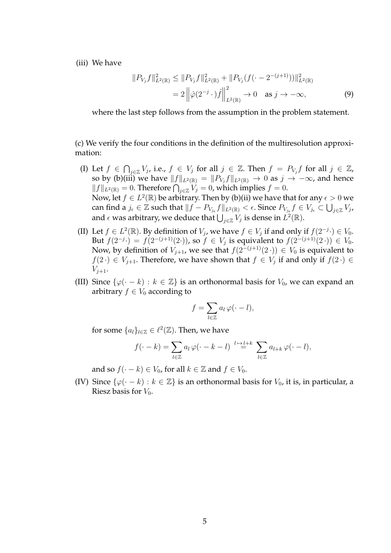(iii) We have

$$
||P_{V_j}f||_{L^2(\mathbb{R})}^2 \le ||P_{V_j}f||_{L^2(\mathbb{R})}^2 + ||P_{V_j}(f(\cdot - 2^{-(j+1)}))||_{L^2(\mathbb{R})}^2
$$
  
=  $2||\hat{\varphi}(2^{-j} \cdot)\hat{f}||_{L^2(\mathbb{R})}^2 \to 0 \text{ as } j \to -\infty,$  (9)

where the last step follows from the assumption in the problem statement.

(c) We verify the four conditions in the definition of the multiresolution approximation:

- (I) Let  $f \in \bigcap_{j\in \mathbb{Z}} V_j$ , i.e.,  $f \in V_j$  for all  $j \in \mathbb{Z}$ . Then  $f = P_{V_j} f$  for all  $j \in \mathbb{Z}$ , so by (b)(iii) we have  $\|f\|_{L^2(\mathbb{R})} = \|P_{V_j}f\|_{L^2(\mathbb{R})} \to 0$  as  $j\to -\infty$ , and hence  $||f||_{L^2(\mathbb{R})} = 0$ . Therefore  $\bigcap_{j \in \mathbb{Z}} V_j = 0$ , which implies  $f = 0$ . Now, let  $f \in L^2(\mathbb{R})$  be arbitrary. Then by (b)(ii) we have that for any  $\epsilon > 0$  we can find a  $j_\epsilon\in\mathbb{Z}$  such that  $\|f-P_{V_{j_\epsilon}}f\|_{L^2(\mathbb{R})}<\epsilon.$  Since  $P_{V_{j_\epsilon}}f\in V_{j_\epsilon}\subset\bigcup_{j\in\mathbb{Z}}V_j$ , and  $\epsilon$  was arbitrary, we deduce that  $\bigcup_{j\in\mathbb{Z}}V_j$  is dense in  $L^2(\mathbb{R}).$
- (II) Let  $f \in L^2(\mathbb{R})$ . By definition of  $V_j$ , we have  $f \in V_j$  if and only if  $f(2^{-j} \cdot) \in V_0$ . But  $f(2^{-j} \cdot) = f(2^{-(j+1)}(2 \cdot))$ , so  $f \in V_j$  is equivalent to  $f(2^{-(j+1)}(2 \cdot)) \in V_0$ . Now, by definition of  $V_{j+1}$ , we see that  $f(2^{-(j+1)}(2\cdot)) \in V_0$  is equivalent to  $f(2 \cdot) \in V_{j+1}$ . Therefore, we have shown that  $f \in V_j$  if and only if  $f(2 \cdot) \in$  $V_{i+1}$ .
- (III) Since  $\{\varphi(\cdot k) : k \in \mathbb{Z}\}\$ is an orthonormal basis for  $V_0$ , we can expand an arbitrary  $f \in V_0$  according to

$$
f = \sum_{l \in \mathbb{Z}} a_l \, \varphi(\cdot - l),
$$

for some  $\{a_l\}_{l\in\mathbb{Z}}\in \ell^2(\mathbb{Z})$ . Then, we have

$$
f(\cdot - k) = \sum_{l \in \mathbb{Z}} a_l \, \varphi(\cdot - k - l) \stackrel{l \mapsto l + k}{=} \sum_{l \in \mathbb{Z}} a_{l + k} \, \varphi(\cdot - l),
$$

and so  $f(-k) \in V_0$ , for all  $k \in \mathbb{Z}$  and  $f \in V_0$ .

(IV) Since  $\{\varphi(\cdot - k) : k \in \mathbb{Z}\}\$  is an orthonormal basis for  $V_0$ , it is, in particular, a Riesz basis for  $V_0$ .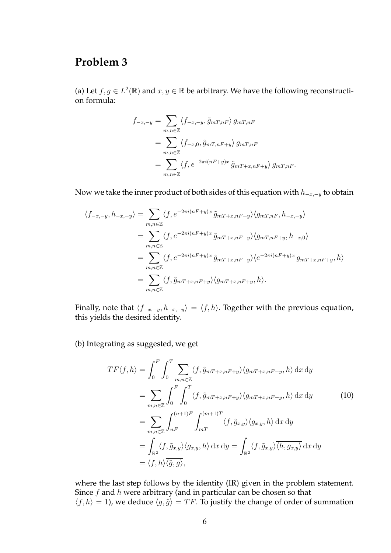### **Problem 3**

(a) Let  $f, g \in L^2(\mathbb{R})$  and  $x, y \in \mathbb{R}$  be arbitrary. We have the following reconstruction formula:

$$
f_{-x,-y} = \sum_{m,n \in \mathbb{Z}} \langle f_{-x,-y}, \tilde{g}_{mT,nF} \rangle g_{mT,nF}
$$
  
= 
$$
\sum_{m,n \in \mathbb{Z}} \langle f_{-x,0}, \tilde{g}_{mT,nF+y} \rangle g_{mT,nF}
$$
  
= 
$$
\sum_{m,n \in \mathbb{Z}} \langle f, e^{-2\pi i (nF+y)x} \tilde{g}_{mT+x,nF+y} \rangle g_{mT,nF}.
$$

Now we take the inner product of both sides of this equation with  $h_{-x,-y}$  to obtain

$$
\langle f_{-x,-y}, h_{-x,-y} \rangle = \sum_{m,n \in \mathbb{Z}} \langle f, e^{-2\pi i (nF+y)x} \tilde{g}_{mT+x,nF+y} \rangle \langle g_{mT,nF}, h_{-x,-y} \rangle
$$
  
\n
$$
= \sum_{m,n \in \mathbb{Z}} \langle f, e^{-2\pi i (nF+y)x} \tilde{g}_{mT+x,nF+y} \rangle \langle g_{mT,nF+y}, h_{-x,0} \rangle
$$
  
\n
$$
= \sum_{m,n \in \mathbb{Z}} \langle f, e^{-2\pi i (nF+y)x} \tilde{g}_{mT+x,nF+y} \rangle \langle e^{-2\pi i (nF+y)x} g_{mT+x,nF+y}, h \rangle
$$
  
\n
$$
= \sum_{m,n \in \mathbb{Z}} \langle f, \tilde{g}_{mT+x,nF+y} \rangle \langle g_{mT+x,nF+y}, h \rangle.
$$

Finally, note that  $\langle f_{-x,-y}, h_{-x,-y} \rangle = \langle f, h \rangle$ . Together with the previous equation, this yields the desired identity.

(b) Integrating as suggested, we get

$$
TF\langle f, h \rangle = \int_0^F \int_0^T \sum_{m,n \in \mathbb{Z}} \langle f, \tilde{g}_{mT+x,nF+y} \rangle \langle g_{mT+x,nF+y}, h \rangle \, dx \, dy
$$
  
\n
$$
= \sum_{m,n \in \mathbb{Z}} \int_0^F \int_0^T \langle f, \tilde{g}_{mT+x,nF+y} \rangle \langle g_{mT+x,nF+y}, h \rangle \, dx \, dy \qquad (10)
$$
  
\n
$$
= \sum_{m,n \in \mathbb{Z}} \int_{nF}^{(n+1)F} \int_{mT}^{(m+1)T} \langle f, \tilde{g}_{x,y} \rangle \langle g_{x,y}, h \rangle \, dx \, dy
$$
  
\n
$$
= \int_{\mathbb{R}^2} \langle f, \tilde{g}_{x,y} \rangle \langle g_{x,y}, h \rangle \, dx \, dy = \int_{\mathbb{R}^2} \langle f, \tilde{g}_{x,y} \rangle \overline{\langle h, g_{x,y} \rangle} \, dx \, dy
$$
  
\n
$$
= \langle f, h \rangle \overline{\langle \tilde{g}, g \rangle},
$$

where the last step follows by the identity (IR) given in the problem statement. Since  $f$  and  $h$  were arbitrary (and in particular can be chosen so that  $\langle f, h \rangle = 1$ ), we deduce  $\langle g, \tilde{g} \rangle = TF$ . To justify the change of order of summation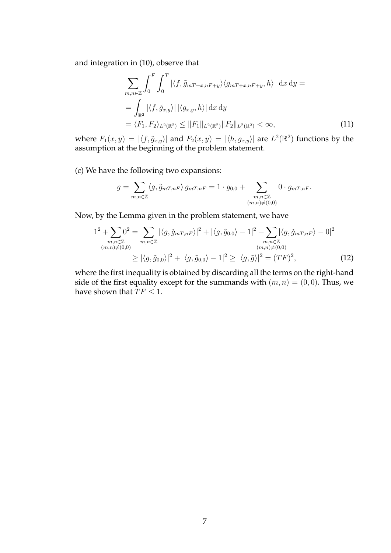and integration in (10), observe that

$$
\sum_{m,n\in\mathbb{Z}} \int_0^F \int_0^T \left| \langle f, \tilde{g}_{mT+x,nF+y} \rangle \langle g_{mT+x,nF+y}, h \rangle \right| dx dy =
$$
\n
$$
= \int_{\mathbb{R}^2} \left| \langle f, \tilde{g}_{x,y} \rangle \right| \left| \langle g_{x,y}, h \rangle \right| dx dy
$$
\n
$$
= \langle F_1, F_2 \rangle_{L^2(\mathbb{R}^2)} \leq \|F_1\|_{L^2(\mathbb{R}^2)} \|F_2\|_{L^2(\mathbb{R}^2)} < \infty,
$$
\n(11)

where  $F_1(x,y) = |\langle f, \tilde{g}_{x,y} \rangle|$  and  $F_2(x,y) = |\langle h, g_{x,y} \rangle|$  are  $L^2(\mathbb{R}^2)$  functions by the assumption at the beginning of the problem statement.

(c) We have the following two expansions:

$$
g = \sum_{m,n \in \mathbb{Z}} \langle g, \tilde{g}_{mT,nF} \rangle g_{mT,nF} = 1 \cdot g_{0,0} + \sum_{\substack{m,n \in \mathbb{Z} \\ (m,n) \neq (0,0)}} 0 \cdot g_{mT,nF}.
$$

Now, by the Lemma given in the problem statement, we have

$$
1^{2} + \sum_{\substack{m,n \in \mathbb{Z} \\ (m,n) \neq (0,0)}} 0^{2} = \sum_{m,n \in \mathbb{Z}} |\langle g, \tilde{g}_{mT,nF} \rangle|^{2} + |\langle g, \tilde{g}_{0,0} \rangle - 1|^{2} + \sum_{\substack{m,n \in \mathbb{Z} \\ (m,n) \neq (0,0)}} |\langle g, \tilde{g}_{mT,nF} \rangle - 0|^{2}
$$
  

$$
\geq |\langle g, \tilde{g}_{0,0} \rangle|^{2} + |\langle g, \tilde{g}_{0,0} \rangle - 1|^{2} \geq |\langle g, \tilde{g} \rangle|^{2} = (TF)^{2}, \qquad (12)
$$

where the first inequality is obtained by discarding all the terms on the right-hand side of the first equality except for the summands with  $(m, n) = (0, 0)$ . Thus, we have shown that  $TF \leq 1$ .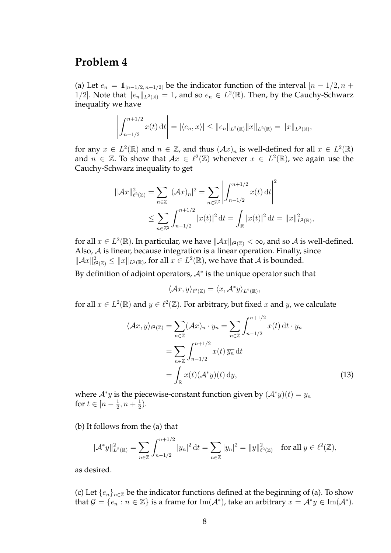#### **Problem 4**

(a) Let  $e_n = \mathbb{1}_{[n-1/2, n+1/2]}$  be the indicator function of the interval  $[n-1/2, n+1/2]$ 1/2]. Note that  $||e_n||_{L^2(\mathbb{R})} = 1$ , and so  $e_n \in L^2(\mathbb{R})$ . Then, by the Cauchy-Schwarz inequality we have

$$
\left| \int_{n-1/2}^{n+1/2} x(t) dt \right| = |\langle e_n, x \rangle| \leq ||e_n||_{L^2(\mathbb{R})} ||x||_{L^2(\mathbb{R})} = ||x||_{L^2(\mathbb{R})},
$$

for any  $x \in L^2(\mathbb{R})$  and  $n \in \mathbb{Z}$ , and thus  $(\mathcal{A}x)_n$  is well-defined for all  $x \in L^2(\mathbb{R})$ and  $n \in \mathbb{Z}$ . To show that  $Ax \in \ell^2(\mathbb{Z})$  whenever  $x \in L^2(\mathbb{R})$ , we again use the Cauchy-Schwarz inequality to get

$$
\|\mathcal{A}x\|_{\ell^2(\mathbb{Z})}^2 = \sum_{n \in \mathbb{Z}} |(\mathcal{A}x)_n|^2 = \sum_{n \in \mathbb{Z}^2} \left| \int_{n-1/2}^{n+1/2} x(t) dt \right|^2
$$
  

$$
\leq \sum_{n \in \mathbb{Z}^2} \int_{n-1/2}^{n+1/2} |x(t)|^2 dt = \int_{\mathbb{R}} |x(t)|^2 dt = \|x\|_{L^2(\mathbb{R})}^2,
$$

for all  $x\in L^2(\mathbb{R})$ . In particular, we have  $\|\mathcal{A}x\|_{\ell^2(\mathbb{Z})}<\infty$ , and so  $\mathcal A$  is well-defined. Also,  $A$  is linear, because integration is a linear operation. Finally, since  $\|\mathcal{A}x\|_{\ell}^2$  $\mathbb{R}^2_{\ell^2(\mathbb{Z})}\leq \|x\|_{L^2(\mathbb{R})}$ , for all  $x\in L^2(\mathbb{R})$ , we have that  $\mathcal A$  is bounded.

By definition of adjoint operators,  $A^*$  is the unique operator such that

$$
\langle \mathcal{A}x, y \rangle_{\ell^2(\mathbb{Z})} = \langle x, \mathcal{A}^*y \rangle_{L^2(\mathbb{R})},
$$

for all  $x \in L^2(\mathbb{R})$  and  $y \in \ell^2(\mathbb{Z})$ . For arbitrary, but fixed x and y, we calculate

$$
\langle Ax, y \rangle_{\ell^2(\mathbb{Z})} = \sum_{n \in \mathbb{Z}} (\mathcal{A}x)_n \cdot \overline{y_n} = \sum_{n \in \mathbb{Z}} \int_{n-1/2}^{n+1/2} x(t) dt \cdot \overline{y_n}
$$

$$
= \sum_{n \in \mathbb{Z}} \int_{n-1/2}^{n+1/2} x(t) \overline{y_n} dt
$$

$$
= \int_{\mathbb{R}} x(t) (\mathcal{A}^* y)(t) dy,
$$
(13)

where  $\mathcal{A}^* y$  is the piecewise-constant function given by  $(\mathcal{A}^* y)(t) = y_n$ for  $t \in [n - \frac{1}{2}]$  $\frac{1}{2}, n + \frac{1}{2}$  $\frac{1}{2}$ .

(b) It follows from the (a) that

$$
\|\mathcal{A}^* y\|_{L^2(\mathbb{R})}^2 = \sum_{n \in \mathbb{Z}} \int_{n-1/2}^{n+1/2} |y_n|^2 dt = \sum_{n \in \mathbb{Z}} |y_n|^2 = \|y\|_{\ell^2(\mathbb{Z})}^2 \quad \text{for all } y \in \ell^2(\mathbb{Z}),
$$

as desired.

(c) Let  ${e_n}_{n\in\mathbb{Z}}$  be the indicator functions defined at the beginning of (a). To show that  $\mathcal{G} = \{e_n : n \in \mathbb{Z}\}$  is a frame for  $\text{Im}(\mathcal{A}^*)$ , take an arbitrary  $x = \mathcal{A}^*y \in \text{Im}(\mathcal{A}^*)$ .